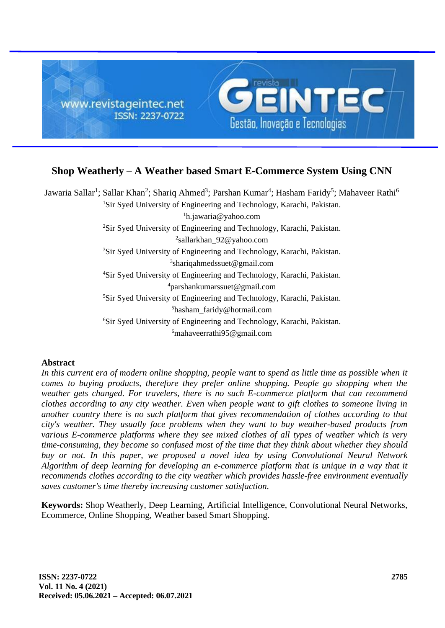

# **Shop Weatherly – A Weather based Smart E-Commerce System Using CNN**

Jawaria Sallar<sup>1</sup>; Sallar Khan<sup>2</sup>; Shariq Ahmed<sup>3</sup>; Parshan Kumar<sup>4</sup>; Hasham Faridy<sup>5</sup>; Mahaveer Rathi<sup>6</sup> <sup>1</sup>Sir Syed University of Engineering and Technology, Karachi, Pakistan. h.jawaria@yahoo.com Sir Syed University of Engineering and Technology, Karachi, Pakistan. sallarkhan\_92@yahoo.com Sir Syed University of Engineering and Technology, Karachi, Pakistan. shariqahmedssuet@gmail.com Sir Syed University of Engineering and Technology, Karachi, Pakistan. parshankumarssuet@gmail.com <sup>5</sup>Sir Syed University of Engineering and Technology, Karachi, Pakistan. hasham\_faridy@hotmail.com Sir Syed University of Engineering and Technology, Karachi, Pakistan. mahaveerrathi95@gmail.com

# **Abstract**

In this current era of modern online shopping, people want to spend as little time as possible when it *comes to buying products, therefore they prefer online shopping. People go shopping when the weather gets changed. For travelers, there is no such E-commerce platform that can recommend clothes according to any city weather. Even when people want to gift clothes to someone living in another country there is no such platform that gives recommendation of clothes according to that city's weather. They usually face problems when they want to buy weather-based products from various E-commerce platforms where they see mixed clothes of all types of weather which is very time-consuming, they become so confused most of the time that they think about whether they should buy or not. In this paper, we proposed a novel idea by using Convolutional Neural Network Algorithm of deep learning for developing an e-commerce platform that is unique in a way that it recommends clothes according to the city weather which provides hassle-free environment eventually saves customer's time thereby increasing customer satisfaction.*

**Keywords:** Shop Weatherly, Deep Learning, Artificial Intelligence, Convolutional Neural Networks, Ecommerce, Online Shopping, Weather based Smart Shopping.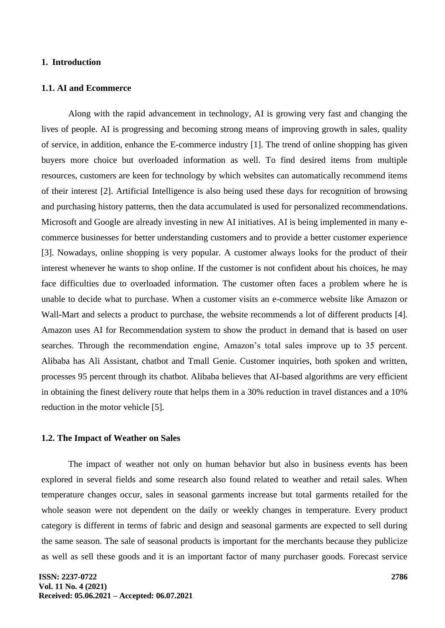## **1. Introduction**

#### **1.1. AI and Ecommerce**

Along with the rapid advancement in technology, AI is growing very fast and changing the lives of people. AI is progressing and becoming strong means of improving growth in sales, quality of service, in addition, enhance the E-commerce industry [1]. The trend of online shopping has given buyers more choice but overloaded information as well. To find desired items from multiple resources, customers are keen for technology by which websites can automatically recommend items of their interest [2]. Artificial Intelligence is also being used these days for recognition of browsing and purchasing history patterns, then the data accumulated is used for personalized recommendations. Microsoft and Google are already investing in new AI initiatives. AI is being implemented in many ecommerce businesses for better understanding customers and to provide a better customer experience [3]. Nowadays, online shopping is very popular. A customer always looks for the product of their interest whenever he wants to shop online. If the customer is not confident about his choices, he may face difficulties due to overloaded information. The customer often faces a problem where he is unable to decide what to purchase. When a customer visits an e-commerce website like Amazon or Wall-Mart and selects a product to purchase, the website recommends a lot of different products [4]. Amazon uses AI for Recommendation system to show the product in demand that is based on user searches. Through the recommendation engine, Amazon's total sales improve up to 35 percent. Alibaba has Ali Assistant, chatbot and Tmall Genie. Customer inquiries, both spoken and written, processes 95 percent through its chatbot. Alibaba believes that AI-based algorithms are very efficient in obtaining the finest delivery route that helps them in a 30% reduction in travel distances and a 10% reduction in the motor vehicle [5].

#### **1.2. The Impact of Weather on Sales**

The impact of weather not only on human behavior but also in business events has been explored in several fields and some research also found related to weather and retail sales. When temperature changes occur, sales in seasonal garments increase but total garments retailed for the whole season were not dependent on the daily or weekly changes in temperature. Every product category is different in terms of fabric and design and seasonal garments are expected to sell during the same season. The sale of seasonal products is important for the merchants because they publicize as well as sell these goods and it is an important factor of many purchaser goods. Forecast service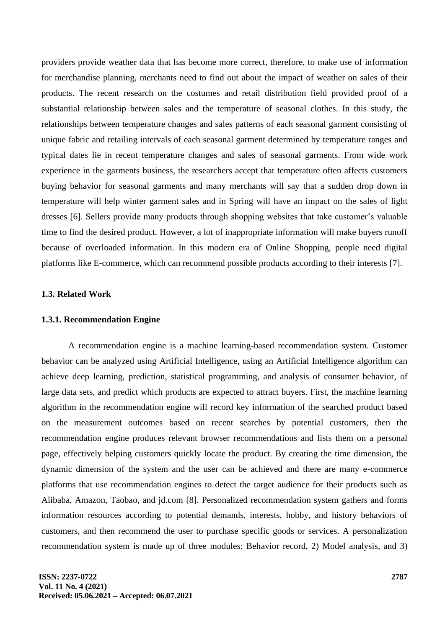providers provide weather data that has become more correct, therefore, to make use of information for merchandise planning, merchants need to find out about the impact of weather on sales of their products. The recent research on the costumes and retail distribution field provided proof of a substantial relationship between sales and the temperature of seasonal clothes. In this study, the relationships between temperature changes and sales patterns of each seasonal garment consisting of unique fabric and retailing intervals of each seasonal garment determined by temperature ranges and typical dates lie in recent temperature changes and sales of seasonal garments. From wide work experience in the garments business, the researchers accept that temperature often affects customers buying behavior for seasonal garments and many merchants will say that a sudden drop down in temperature will help winter garment sales and in Spring will have an impact on the sales of light dresses [6]. Sellers provide many products through shopping websites that take customer's valuable time to find the desired product. However, a lot of inappropriate information will make buyers runoff because of overloaded information. In this modern era of Online Shopping, people need digital platforms like E-commerce, which can recommend possible products according to their interests [7].

# **1.3. Related Work**

#### **1.3.1. Recommendation Engine**

A recommendation engine is a machine learning-based recommendation system. Customer behavior can be analyzed using Artificial Intelligence, using an Artificial Intelligence algorithm can achieve deep learning, prediction, statistical programming, and analysis of consumer behavior, of large data sets, and predict which products are expected to attract buyers. First, the machine learning algorithm in the recommendation engine will record key information of the searched product based on the measurement outcomes based on recent searches by potential customers, then the recommendation engine produces relevant browser recommendations and lists them on a personal page, effectively helping customers quickly locate the product. By creating the time dimension, the dynamic dimension of the system and the user can be achieved and there are many e-commerce platforms that use recommendation engines to detect the target audience for their products such as Alibaba, Amazon, Taobao, and jd.com [8]. Personalized recommendation system gathers and forms information resources according to potential demands, interests, hobby, and history behaviors of customers, and then recommend the user to purchase specific goods or services. A personalization recommendation system is made up of three modules: Behavior record, 2) Model analysis, and 3)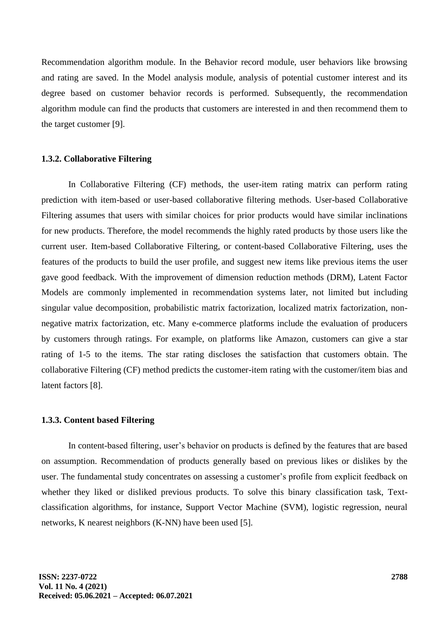Recommendation algorithm module. In the Behavior record module, user behaviors like browsing and rating are saved. In the Model analysis module, analysis of potential customer interest and its degree based on customer behavior records is performed. Subsequently, the recommendation algorithm module can find the products that customers are interested in and then recommend them to the target customer [9].

# **1.3.2. Collaborative Filtering**

In Collaborative Filtering (CF) methods, the user-item rating matrix can perform rating prediction with item-based or user-based collaborative filtering methods. User-based Collaborative Filtering assumes that users with similar choices for prior products would have similar inclinations for new products. Therefore, the model recommends the highly rated products by those users like the current user. Item-based Collaborative Filtering, or content-based Collaborative Filtering, uses the features of the products to build the user profile, and suggest new items like previous items the user gave good feedback. With the improvement of dimension reduction methods (DRM), Latent Factor Models are commonly implemented in recommendation systems later, not limited but including singular value decomposition, probabilistic matrix factorization, localized matrix factorization, nonnegative matrix factorization, etc. Many e-commerce platforms include the evaluation of producers by customers through ratings. For example, on platforms like Amazon, customers can give a star rating of 1-5 to the items. The star rating discloses the satisfaction that customers obtain. The collaborative Filtering (CF) method predicts the customer-item rating with the customer/item bias and latent factors [8].

#### **1.3.3. Content based Filtering**

In content-based filtering, user's behavior on products is defined by the features that are based on assumption. Recommendation of products generally based on previous likes or dislikes by the user. The fundamental study concentrates on assessing a customer's profile from explicit feedback on whether they liked or disliked previous products. To solve this binary classification task, Textclassification algorithms, for instance, Support Vector Machine (SVM), logistic regression, neural networks, K nearest neighbors (K-NN) have been used [5].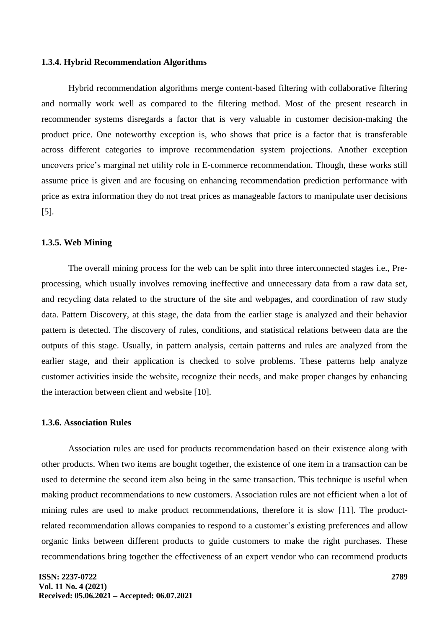#### **1.3.4. Hybrid Recommendation Algorithms**

Hybrid recommendation algorithms merge content-based filtering with collaborative filtering and normally work well as compared to the filtering method. Most of the present research in recommender systems disregards a factor that is very valuable in customer decision-making the product price. One noteworthy exception is, who shows that price is a factor that is transferable across different categories to improve recommendation system projections. Another exception uncovers price's marginal net utility role in E-commerce recommendation. Though, these works still assume price is given and are focusing on enhancing recommendation prediction performance with price as extra information they do not treat prices as manageable factors to manipulate user decisions [5].

#### **1.3.5. Web Mining**

The overall mining process for the web can be split into three interconnected stages i.e., Preprocessing, which usually involves removing ineffective and unnecessary data from a raw data set, and recycling data related to the structure of the site and webpages, and coordination of raw study data. Pattern Discovery, at this stage, the data from the earlier stage is analyzed and their behavior pattern is detected. The discovery of rules, conditions, and statistical relations between data are the outputs of this stage. Usually, in pattern analysis, certain patterns and rules are analyzed from the earlier stage, and their application is checked to solve problems. These patterns help analyze customer activities inside the website, recognize their needs, and make proper changes by enhancing the interaction between client and website [10].

# **1.3.6. Association Rules**

Association rules are used for products recommendation based on their existence along with other products. When two items are bought together, the existence of one item in a transaction can be used to determine the second item also being in the same transaction. This technique is useful when making product recommendations to new customers. Association rules are not efficient when a lot of mining rules are used to make product recommendations, therefore it is slow [11]. The productrelated recommendation allows companies to respond to a customer's existing preferences and allow organic links between different products to guide customers to make the right purchases. These recommendations bring together the effectiveness of an expert vendor who can recommend products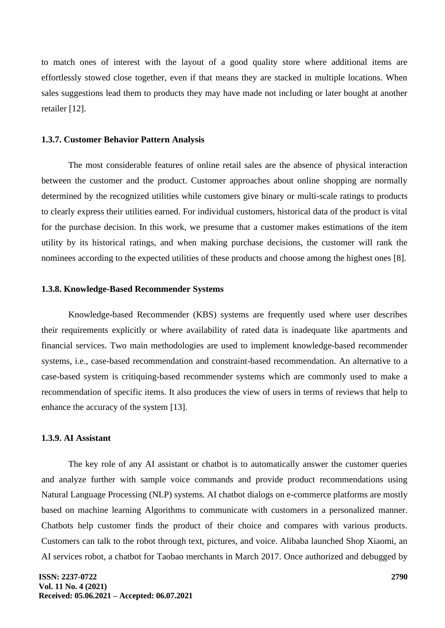to match ones of interest with the layout of a good quality store where additional items are effortlessly stowed close together, even if that means they are stacked in multiple locations. When sales suggestions lead them to products they may have made not including or later bought at another retailer [12].

#### **1.3.7. Customer Behavior Pattern Analysis**

The most considerable features of online retail sales are the absence of physical interaction between the customer and the product. Customer approaches about online shopping are normally determined by the recognized utilities while customers give binary or multi-scale ratings to products to clearly express their utilities earned. For individual customers, historical data of the product is vital for the purchase decision. In this work, we presume that a customer makes estimations of the item utility by its historical ratings, and when making purchase decisions, the customer will rank the nominees according to the expected utilities of these products and choose among the highest ones [8].

#### **1.3.8. Knowledge-Based Recommender Systems**

Knowledge-based Recommender (KBS) systems are frequently used where user describes their requirements explicitly or where availability of rated data is inadequate like apartments and financial services. Two main methodologies are used to implement knowledge-based recommender systems, i.e., case-based recommendation and constraint-based recommendation. An alternative to a case-based system is critiquing-based recommender systems which are commonly used to make a recommendation of specific items. It also produces the view of users in terms of reviews that help to enhance the accuracy of the system [13].

# **1.3.9. AI Assistant**

The key role of any AI assistant or chatbot is to automatically answer the customer queries and analyze further with sample voice commands and provide product recommendations using Natural Language Processing (NLP) systems. AI chatbot dialogs on e-commerce platforms are mostly based on machine learning Algorithms to communicate with customers in a personalized manner. Chatbots help customer finds the product of their choice and compares with various products. Customers can talk to the robot through text, pictures, and voice. Alibaba launched Shop Xiaomi, an AI services robot, a chatbot for Taobao merchants in March 2017. Once authorized and debugged by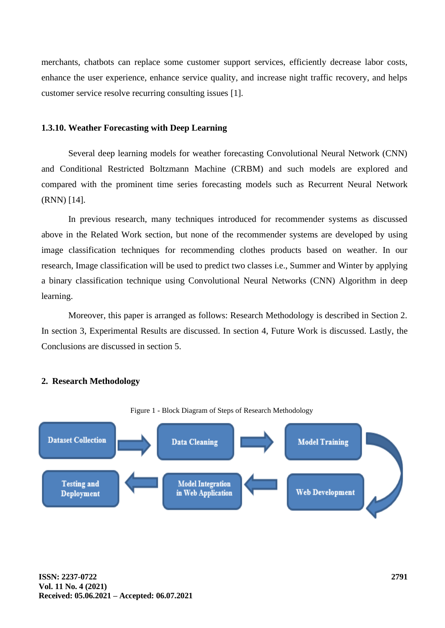merchants, chatbots can replace some customer support services, efficiently decrease labor costs, enhance the user experience, enhance service quality, and increase night traffic recovery, and helps customer service resolve recurring consulting issues [1].

# **1.3.10. Weather Forecasting with Deep Learning**

Several deep learning models for weather forecasting Convolutional Neural Network (CNN) and Conditional Restricted Boltzmann Machine (CRBM) and such models are explored and compared with the prominent time series forecasting models such as Recurrent Neural Network (RNN) [14].

In previous research, many techniques introduced for recommender systems as discussed above in the Related Work section, but none of the recommender systems are developed by using image classification techniques for recommending clothes products based on weather. In our research, Image classification will be used to predict two classes i.e., Summer and Winter by applying a binary classification technique using Convolutional Neural Networks (CNN) Algorithm in deep learning.

Moreover, this paper is arranged as follows: Research Methodology is described in Section 2. In section 3, Experimental Results are discussed. In section 4, Future Work is discussed. Lastly, the Conclusions are discussed in section 5.

# **2. Research Methodology**



#### Figure 1 - Block Diagram of Steps of Research Methodology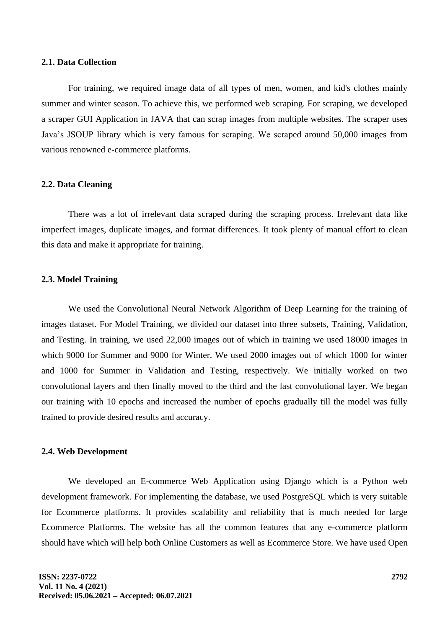#### **2.1. Data Collection**

For training, we required image data of all types of men, women, and kid's clothes mainly summer and winter season. To achieve this, we performed web scraping. For scraping, we developed a scraper GUI Application in JAVA that can scrap images from multiple websites. The scraper uses Java's JSOUP library which is very famous for scraping. We scraped around 50,000 images from various renowned e-commerce platforms.

# **2.2. Data Cleaning**

There was a lot of irrelevant data scraped during the scraping process. Irrelevant data like imperfect images, duplicate images, and format differences. It took plenty of manual effort to clean this data and make it appropriate for training.

#### **2.3. Model Training**

We used the Convolutional Neural Network Algorithm of Deep Learning for the training of images dataset. For Model Training, we divided our dataset into three subsets, Training, Validation, and Testing. In training, we used 22,000 images out of which in training we used 18000 images in which 9000 for Summer and 9000 for Winter. We used 2000 images out of which 1000 for winter and 1000 for Summer in Validation and Testing, respectively. We initially worked on two convolutional layers and then finally moved to the third and the last convolutional layer. We began our training with 10 epochs and increased the number of epochs gradually till the model was fully trained to provide desired results and accuracy.

#### **2.4. Web Development**

We developed an E-commerce Web Application using Django which is a Python web development framework. For implementing the database, we used PostgreSQL which is very suitable for Ecommerce platforms. It provides scalability and reliability that is much needed for large Ecommerce Platforms. The website has all the common features that any e-commerce platform should have which will help both Online Customers as well as Ecommerce Store. We have used Open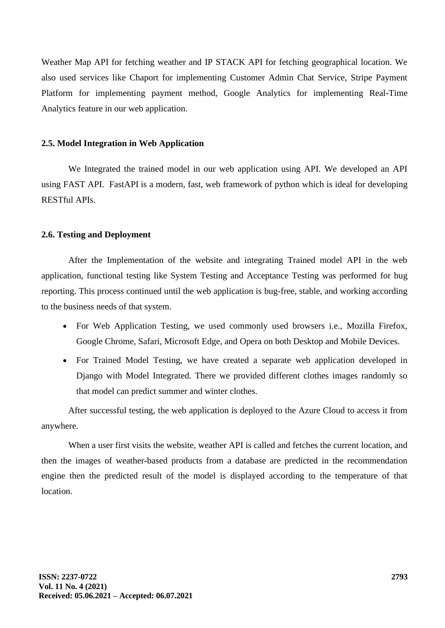Weather Map API for fetching weather and IP STACK API for fetching geographical location. We also used services like Chaport for implementing Customer Admin Chat Service, Stripe Payment Platform for implementing payment method, Google Analytics for implementing Real-Time Analytics feature in our web application.

# **2.5. Model Integration in Web Application**

We Integrated the trained model in our web application using API. We developed an API using FAST API. FastAPI is a modern, fast, web framework of python which is ideal for developing RESTful APIs.

# **2.6. Testing and Deployment**

After the Implementation of the website and integrating Trained model API in the web application, functional testing like System Testing and Acceptance Testing was performed for bug reporting. This process continued until the web application is bug-free, stable, and working according to the business needs of that system.

- For Web Application Testing, we used commonly used browsers i.e., Mozilla Firefox, Google Chrome, Safari, Microsoft Edge, and Opera on both Desktop and Mobile Devices.
- For Trained Model Testing, we have created a separate web application developed in Django with Model Integrated. There we provided different clothes images randomly so that model can predict summer and winter clothes.

After successful testing, the web application is deployed to the Azure Cloud to access it from anywhere.

When a user first visits the website, weather API is called and fetches the current location, and then the images of weather-based products from a database are predicted in the recommendation engine then the predicted result of the model is displayed according to the temperature of that location.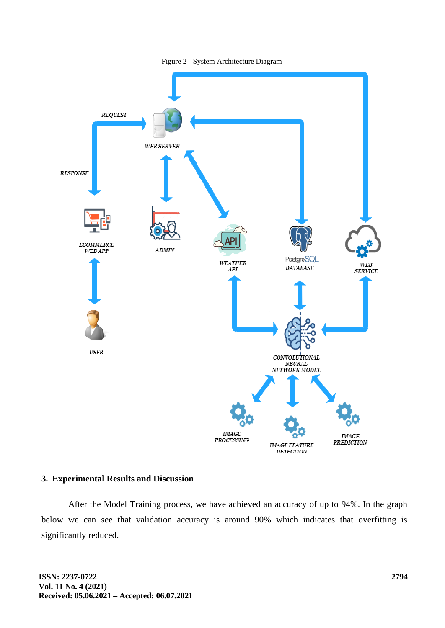

#### Figure 2 - System Architecture Diagram

# **3. Experimental Results and Discussion**

After the Model Training process, we have achieved an accuracy of up to 94%. In the graph below we can see that validation accuracy is around 90% which indicates that overfitting is significantly reduced.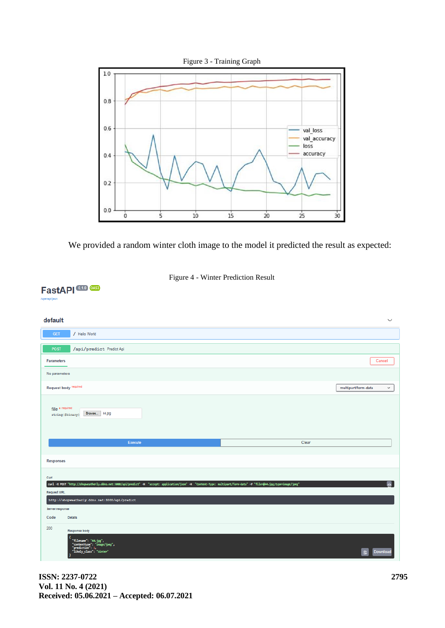

We provided a random winter cloth image to the model it predicted the result as expected:



# FastAPI<sup>0.1.0</sup> 0AS3

#### default  $\checkmark$ / Hello World /api/predict Predict Api Parameters  $Cancel$ No parameters Request body required multipart/form-data  $\overline{\phantom{0}}$ file \* required file \* required<br>atring (\$binary) Browse... 44.jpg Clear Execute Responses Curl  ${\sf curl} \prec x$  POST nt-Type: nultipart/form-data" -F "file=@44.jpg;type e. Request URL  $\verb+http://showaathary.ddns.net:5000/ap1/predict$ Server response Code Details 200 Response body 4.jpg",<br>"image/jpeg",  $\mathbf{e}$

**ISSN: 2237-0722 Vol. 11 No. 4 (2021) Received: 05.06.2021 – Accepted: 06.07.2021**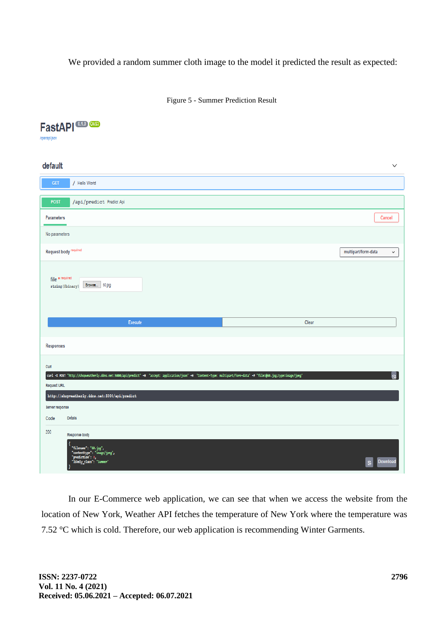We provided a random summer cloth image to the model it predicted the result as expected:

Figure 5 - Summer Prediction Result

# FastAPI<sup>CO</sup> CO /openapl.json default / Hello World /api/predict Predict Api POST Parameters Cancel No parameters Request body required multipart/form-data file \* required string (\$binary) Browse... 60.jpg Execute Clear Responses Curl "accept: application/json" -H "Content-Type: multipart/form-data" -F "file=@60.jpg;type=image/jpeg' curl -X POST "http://shopweatherly.ddns.net:5000/api/predict" -H Request URL  $\verb+http://shopwaathary.ddns.net:5000/api/predict$ Server response Code **Details** 200 Response body "60.jpg",<br>": "image/jpeg",  $\mathbf{B}$

In our E-Commerce web application, we can see that when we access the website from the location of New York, Weather API fetches the temperature of New York where the temperature was 7.52 °C which is cold. Therefore, our web application is recommending Winter Garments.

 $\vee$ 

 $_{\rm v}$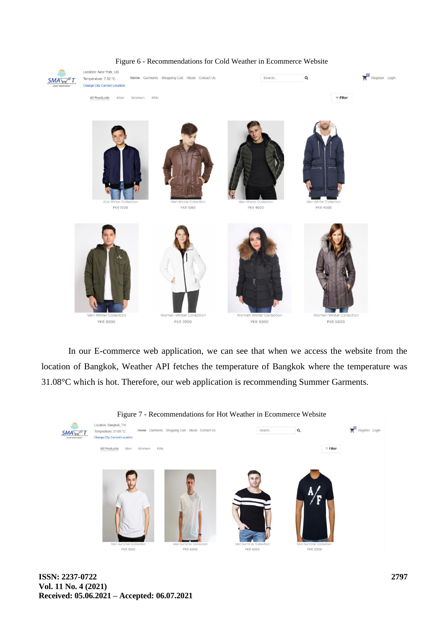

#### Figure 6 - Recommendations for Cold Weather in Ecommerce Website

In our E-commerce web application, we can see that when we access the website from the location of Bangkok, Weather API fetches the temperature of Bangkok where the temperature was 31.08°C which is hot. Therefore, our web application is recommending Summer Garments.

#### Figure 7 - Recommendations for Hot Weather in Ecommerce Website

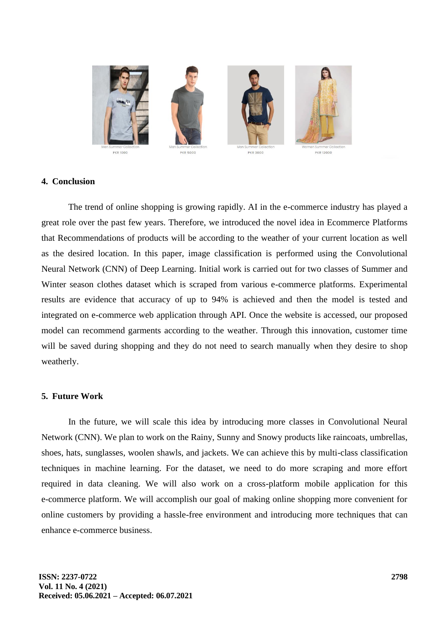

# **4. Conclusion**

The trend of online shopping is growing rapidly. AI in the e-commerce industry has played a great role over the past few years. Therefore, we introduced the novel idea in Ecommerce Platforms that Recommendations of products will be according to the weather of your current location as well as the desired location. In this paper, image classification is performed using the Convolutional Neural Network (CNN) of Deep Learning. Initial work is carried out for two classes of Summer and Winter season clothes dataset which is scraped from various e-commerce platforms. Experimental results are evidence that accuracy of up to 94% is achieved and then the model is tested and integrated on e-commerce web application through API. Once the website is accessed, our proposed model can recommend garments according to the weather. Through this innovation, customer time will be saved during shopping and they do not need to search manually when they desire to shop weatherly.

# **5. Future Work**

In the future, we will scale this idea by introducing more classes in Convolutional Neural Network (CNN). We plan to work on the Rainy, Sunny and Snowy products like raincoats, umbrellas, shoes, hats, sunglasses, woolen shawls, and jackets. We can achieve this by multi-class classification techniques in machine learning. For the dataset, we need to do more scraping and more effort required in data cleaning. We will also work on a cross-platform mobile application for this e-commerce platform. We will accomplish our goal of making online shopping more convenient for online customers by providing a hassle-free environment and introducing more techniques that can enhance e-commerce business.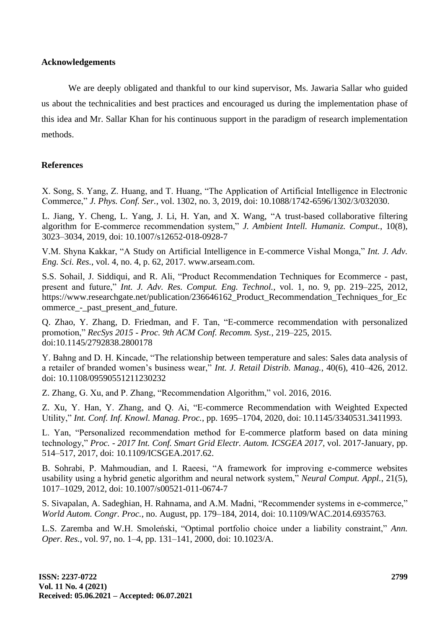# **Acknowledgements**

We are deeply obligated and thankful to our kind supervisor, Ms. Jawaria Sallar who guided us about the technicalities and best practices and encouraged us during the implementation phase of this idea and Mr. Sallar Khan for his continuous support in the paradigm of research implementation methods.

# **References**

X. Song, S. Yang, Z. Huang, and T. Huang, "The Application of Artificial Intelligence in Electronic Commerce," *J. Phys. Conf. Ser.*, vol. 1302, no. 3, 2019, doi: 10.1088/1742-6596/1302/3/032030.

L. Jiang, Y. Cheng, L. Yang, J. Li, H. Yan, and X. Wang, "A trust-based collaborative filtering algorithm for E-commerce recommendation system," *J. Ambient Intell. Humaniz. Comput.*, 10(8), 3023–3034, 2019, doi: 10.1007/s12652-018-0928-7

V.M. Shyna Kakkar, "A Study on Artificial Intelligence in E-commerce Vishal Monga," *Int. J. Adv. Eng. Sci. Res.*, vol. 4, no. 4, p. 62, 2017. www.arseam.com.

S.S. Sohail, J. Siddiqui, and R. Ali, "Product Recommendation Techniques for Ecommerce - past, present and future," *Int. J. Adv. Res. Comput. Eng. Technol.*, vol. 1, no. 9, pp. 219–225, 2012, https://www.researchgate.net/publication/236646162\_Product\_Recommendation\_Techniques\_for\_Ec ommerce - past present and future.

Q. Zhao, Y. Zhang, D. Friedman, and F. Tan, "E-commerce recommendation with personalized promotion," *RecSys 2015 - Proc. 9th ACM Conf. Recomm. Syst.*, 219–225, 2015. doi:10.1145/2792838.2800178

Y. Bahng and D. H. Kincade, "The relationship between temperature and sales: Sales data analysis of a retailer of branded women's business wear," *Int. J. Retail Distrib. Manag.*, 40(6), 410–426, 2012. doi: 10.1108/09590551211230232

Z. Zhang, G. Xu, and P. Zhang, "Recommendation Algorithm," vol. 2016, 2016.

Z. Xu, Y. Han, Y. Zhang, and Q. Ai, "E-commerce Recommendation with Weighted Expected Utility," *Int. Conf. Inf. Knowl. Manag. Proc.*, pp. 1695–1704, 2020, doi: 10.1145/3340531.3411993.

L. Yan, "Personalized recommendation method for E-commerce platform based on data mining technology," *Proc. - 2017 Int. Conf. Smart Grid Electr. Autom. ICSGEA 2017*, vol. 2017-January, pp. 514–517, 2017, doi: 10.1109/ICSGEA.2017.62.

B. Sohrabi, P. Mahmoudian, and I. Raeesi, "A framework for improving e-commerce websites usability using a hybrid genetic algorithm and neural network system," *Neural Comput. Appl.*, 21(5), 1017–1029, 2012, doi: 10.1007/s00521-011-0674-7

S. Sivapalan, A. Sadeghian, H. Rahnama, and A.M. Madni, "Recommender systems in e-commerce," *World Autom. Congr. Proc.*, no. August, pp. 179–184, 2014, doi: 10.1109/WAC.2014.6935763.

L.S. Zaremba and W.H. Smoleński, "Optimal portfolio choice under a liability constraint," *Ann. Oper. Res.*, vol. 97, no. 1–4, pp. 131–141, 2000, doi: 10.1023/A.